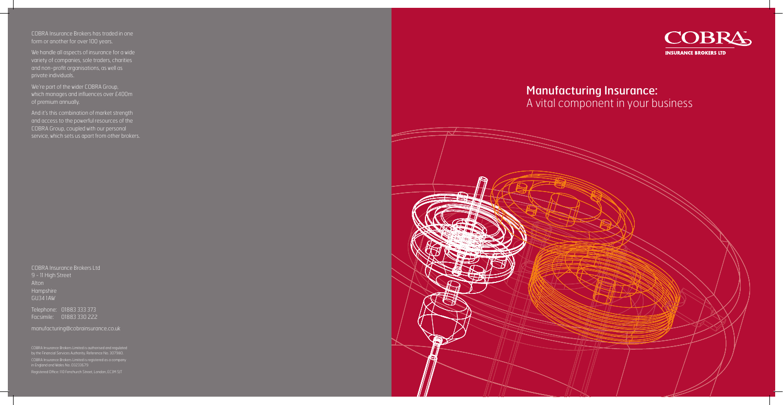COBRA Insurance Brokers Ltd 9 - 11 High Street Alton Hampshire GU34 1AW

Telephone: 01883 333 373 Facsimile: 01883 330 222

manufacturing@cobrainsurance.co.uk

COBRA Insurance Brokers Limited is authorised and regulated by the Financial Services Authority. Reference No. 307980. COBRA Insurance Brokers Limited is registered as a company in England and Wales No. 03233679

We're part of the wider COBRA Group, which manages and influences over £400m of premium annually.

COBRA Insurance Brokers has traded in one form or another for over 100 years.

We handle all aspects of insurance for a wide variety of companies, sole traders, charities and non-profit organisations, as well as

And it's this combination of market strength and access to the powerful resources of the COBRA Group, coupled with our personal service, which sets us apart from other brokers.